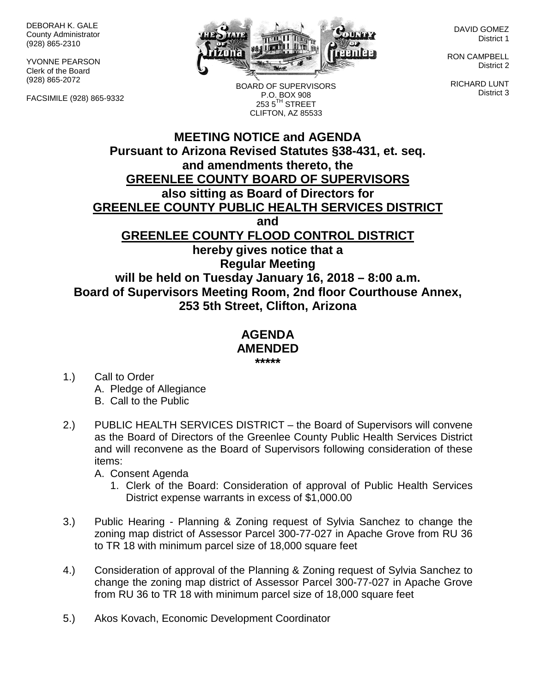DEBORAH K. GALE County Administrator (928) 865-2310

YVONNE PEARSON Clerk of the Board (928) 865-2072

FACSIMILE (928) 865-9332



BOARD OF SUPERVISORS P.O. BOX 908

DAVID GOMEZ District 1

RON CAMPBELL District 2

RICHARD LUNT District 3

## **MEETING NOTICE and AGENDA Pursuant to Arizona Revised Statutes §38-431, et. seq. and amendments thereto, the GREENLEE COUNTY BOARD OF SUPERVISORS also sitting as Board of Directors for GREENLEE COUNTY PUBLIC HEALTH SERVICES DISTRICT and GREENLEE COUNTY FLOOD CONTROL DISTRICT hereby gives notice that a Regular Meeting will be held on Tuesday January 16, 2018 – 8:00 a.m. Board of Supervisors Meeting Room, 2nd floor Courthouse Annex, 253 5th Street, Clifton, Arizona**  $2535^{\text{TH}}$  STREET CLIFTON, AZ 85533

## **AGENDA AMENDED \*\*\*\*\***

- 1.) Call to Order A. Pledge of Allegiance B. Call to the Public
- 2.) PUBLIC HEALTH SERVICES DISTRICT the Board of Supervisors will convene as the Board of Directors of the Greenlee County Public Health Services District and will reconvene as the Board of Supervisors following consideration of these items:

A. Consent Agenda

- 1. Clerk of the Board: Consideration of approval of Public Health Services District expense warrants in excess of \$1,000.00
- 3.) Public Hearing Planning & Zoning request of Sylvia Sanchez to change the zoning map district of Assessor Parcel 300-77-027 in Apache Grove from RU 36 to TR 18 with minimum parcel size of 18,000 square feet
- 4.) Consideration of approval of the Planning & Zoning request of Sylvia Sanchez to change the zoning map district of Assessor Parcel 300-77-027 in Apache Grove from RU 36 to TR 18 with minimum parcel size of 18,000 square feet
- 5.) Akos Kovach, Economic Development Coordinator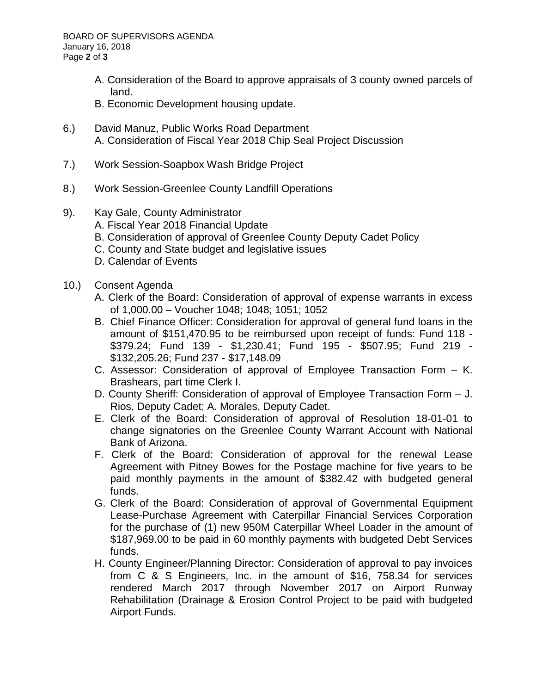- A. Consideration of the Board to approve appraisals of 3 county owned parcels of land.
- B. Economic Development housing update.
- 6.) David Manuz, Public Works Road Department A. Consideration of Fiscal Year 2018 Chip Seal Project Discussion
- 7.) Work Session-Soapbox Wash Bridge Project
- 8.) Work Session-Greenlee County Landfill Operations
- 9). Kay Gale, County Administrator
	- A. Fiscal Year 2018 Financial Update
	- B. Consideration of approval of Greenlee County Deputy Cadet Policy
	- C. County and State budget and legislative issues
	- D. Calendar of Events
- 10.) Consent Agenda
	- A. Clerk of the Board: Consideration of approval of expense warrants in excess of 1,000.00 – Voucher 1048; 1048; 1051; 1052
	- B. Chief Finance Officer: Consideration for approval of general fund loans in the amount of \$151,470.95 to be reimbursed upon receipt of funds: Fund 118 - \$379.24; Fund 139 - \$1,230.41; Fund 195 - \$507.95; Fund 219 - \$132,205.26; Fund 237 - \$17,148.09
	- C. Assessor: Consideration of approval of Employee Transaction Form K. Brashears, part time Clerk I.
	- D. County Sheriff: Consideration of approval of Employee Transaction Form J. Rios, Deputy Cadet; A. Morales, Deputy Cadet.
	- E. Clerk of the Board: Consideration of approval of Resolution 18-01-01 to change signatories on the Greenlee County Warrant Account with National Bank of Arizona.
	- F. Clerk of the Board: Consideration of approval for the renewal Lease Agreement with Pitney Bowes for the Postage machine for five years to be paid monthly payments in the amount of \$382.42 with budgeted general funds.
	- G. Clerk of the Board: Consideration of approval of Governmental Equipment Lease-Purchase Agreement with Caterpillar Financial Services Corporation for the purchase of (1) new 950M Caterpillar Wheel Loader in the amount of \$187,969.00 to be paid in 60 monthly payments with budgeted Debt Services funds.
	- H. County Engineer/Planning Director: Consideration of approval to pay invoices from C & S Engineers, Inc. in the amount of \$16, 758.34 for services rendered March 2017 through November 2017 on Airport Runway Rehabilitation (Drainage & Erosion Control Project to be paid with budgeted Airport Funds.